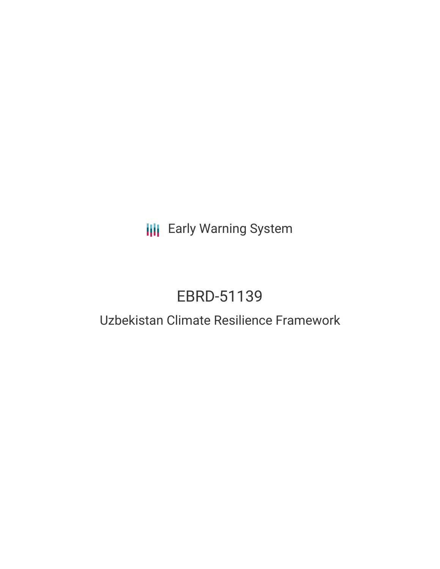**III** Early Warning System

# EBRD-51139

## Uzbekistan Climate Resilience Framework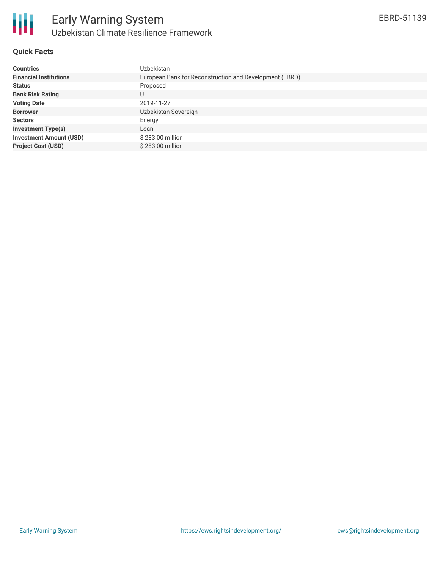

## **Quick Facts**

| <b>Countries</b>               | Uzbekistan                                              |  |  |  |  |
|--------------------------------|---------------------------------------------------------|--|--|--|--|
| <b>Financial Institutions</b>  | European Bank for Reconstruction and Development (EBRD) |  |  |  |  |
| <b>Status</b>                  | Proposed                                                |  |  |  |  |
| <b>Bank Risk Rating</b>        | U                                                       |  |  |  |  |
| <b>Voting Date</b>             | 2019-11-27                                              |  |  |  |  |
| <b>Borrower</b>                | Uzbekistan Sovereign                                    |  |  |  |  |
| <b>Sectors</b>                 | Energy                                                  |  |  |  |  |
| <b>Investment Type(s)</b>      | Loan                                                    |  |  |  |  |
| <b>Investment Amount (USD)</b> | \$283.00 million                                        |  |  |  |  |
| <b>Project Cost (USD)</b>      | \$283.00 million                                        |  |  |  |  |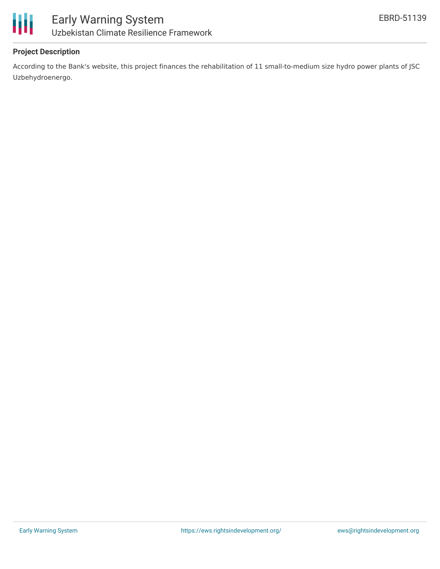



## **Project Description**

According to the Bank's website, this project finances the rehabilitation of 11 small-to-medium size hydro power plants of JSC Uzbehydroenergo.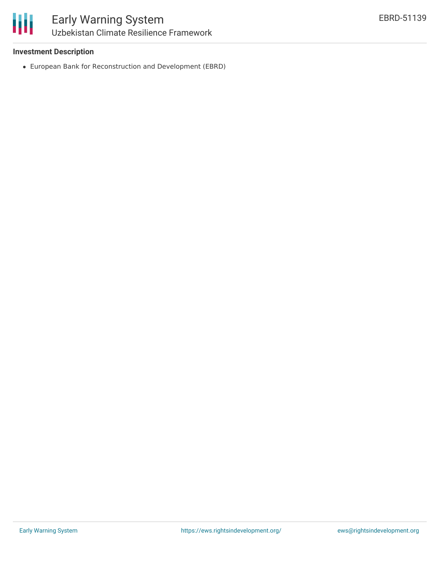## **Investment Description**

European Bank for Reconstruction and Development (EBRD)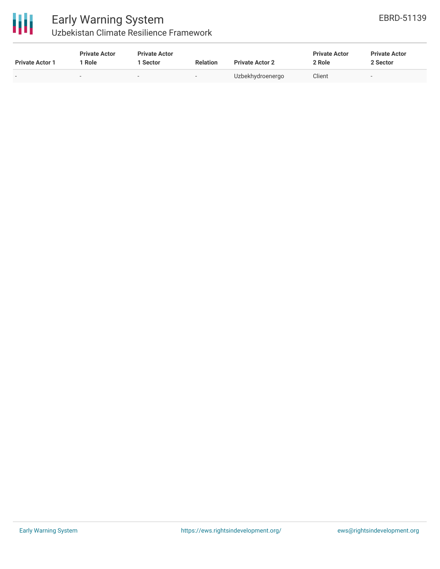

## Early Warning System Uzbekistan Climate Resilience Framework

| <b>Private Actor 1</b>   | <b>Private Actor</b><br>Role | <b>Private Actor</b><br><b>Sector</b> | <b>Relation</b>              | <b>Private Actor 2</b> | <b>Private Actor</b><br>2 Role | <b>Private Actor</b><br>2 Sector |
|--------------------------|------------------------------|---------------------------------------|------------------------------|------------------------|--------------------------------|----------------------------------|
| $\overline{\phantom{0}}$ | $\overline{\phantom{a}}$     | $\overline{\phantom{a}}$              | $\qquad \qquad \blacksquare$ | Uzbekhydroenergo       | Client                         | $\overline{\phantom{a}}$         |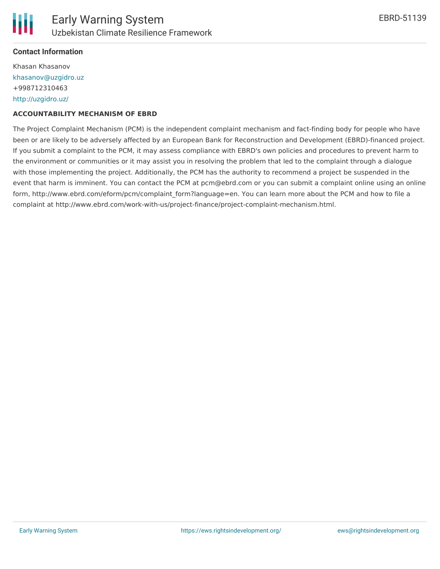### **Contact Information**

Khasan Khasanov [khasanov@uzgidro.uz](mailto:khasanov@uzgidro.uz) +998712310463 <http://uzgidro.uz/>

#### **ACCOUNTABILITY MECHANISM OF EBRD**

The Project Complaint Mechanism (PCM) is the independent complaint mechanism and fact-finding body for people who have been or are likely to be adversely affected by an European Bank for Reconstruction and Development (EBRD)-financed project. If you submit a complaint to the PCM, it may assess compliance with EBRD's own policies and procedures to prevent harm to the environment or communities or it may assist you in resolving the problem that led to the complaint through a dialogue with those implementing the project. Additionally, the PCM has the authority to recommend a project be suspended in the event that harm is imminent. You can contact the PCM at pcm@ebrd.com or you can submit a complaint online using an online form, http://www.ebrd.com/eform/pcm/complaint form?language=en. You can learn more about the PCM and how to file a complaint at http://www.ebrd.com/work-with-us/project-finance/project-complaint-mechanism.html.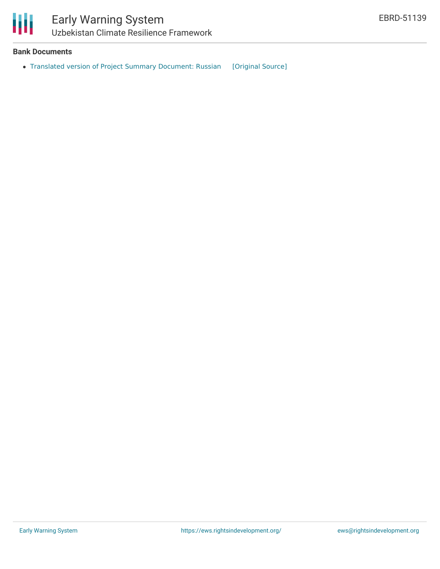

## **Bank Documents**

• Translated version of Project Summary [Document:](https://ewsdata.rightsindevelopment.org/files/documents/39/EBRD-51139.pdf) Russian [\[Original](https://www.ebrd.com/cs/Satellite?c=Content&cid=1395285274918&d=&pagename=EBRD%2FContent%2FDownloadDocument) Source]